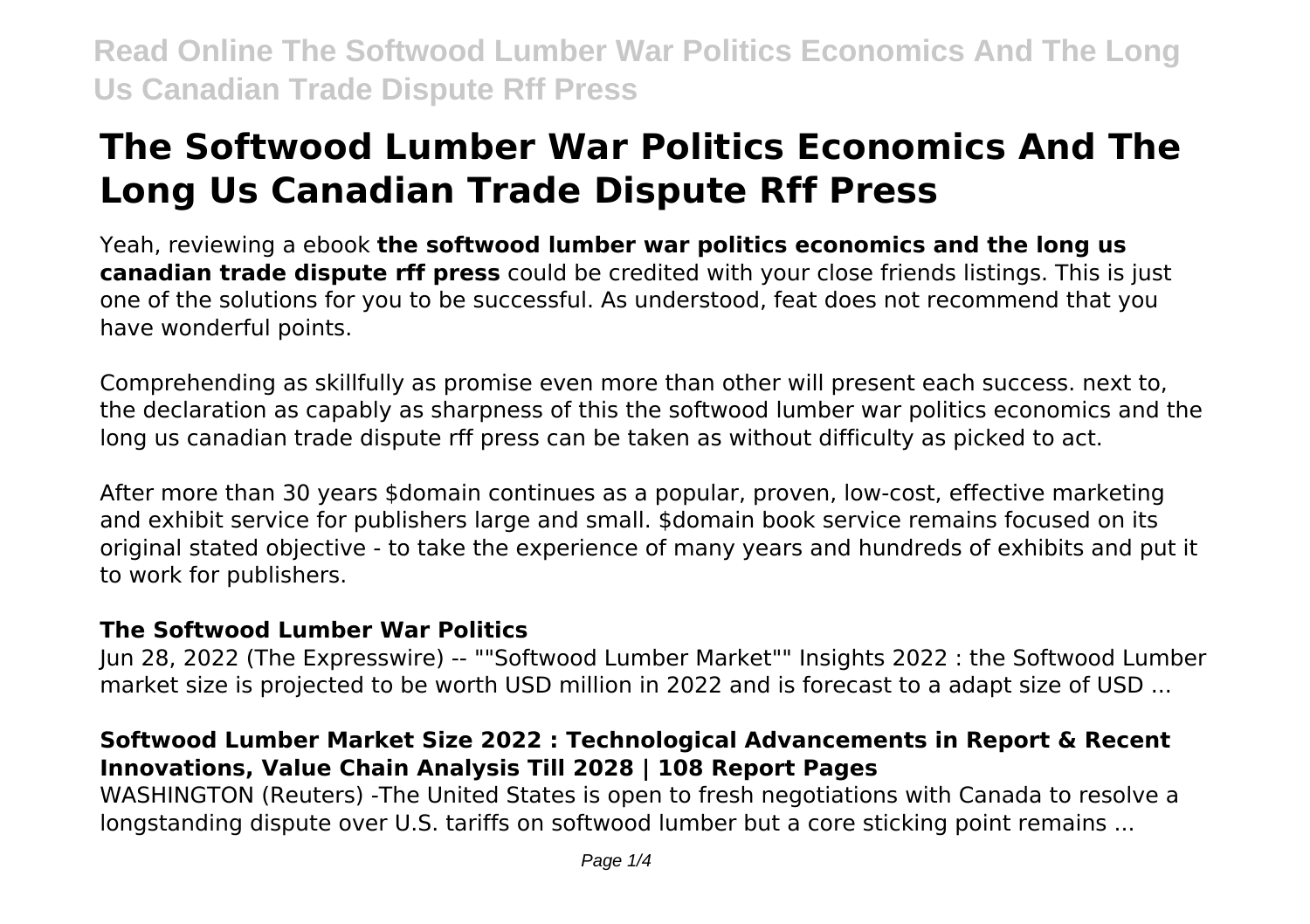# **The Softwood Lumber War Politics Economics And The Long Us Canadian Trade Dispute Rff Press**

Yeah, reviewing a ebook **the softwood lumber war politics economics and the long us canadian trade dispute rff press** could be credited with your close friends listings. This is just one of the solutions for you to be successful. As understood, feat does not recommend that you have wonderful points.

Comprehending as skillfully as promise even more than other will present each success. next to, the declaration as capably as sharpness of this the softwood lumber war politics economics and the long us canadian trade dispute rff press can be taken as without difficulty as picked to act.

After more than 30 years \$domain continues as a popular, proven, low-cost, effective marketing and exhibit service for publishers large and small. \$domain book service remains focused on its original stated objective - to take the experience of many years and hundreds of exhibits and put it to work for publishers.

#### **The Softwood Lumber War Politics**

Jun 28, 2022 (The Expresswire) -- ""Softwood Lumber Market"" Insights 2022 : the Softwood Lumber market size is projected to be worth USD million in 2022 and is forecast to a adapt size of USD ...

#### **Softwood Lumber Market Size 2022 : Technological Advancements in Report & Recent Innovations, Value Chain Analysis Till 2028 | 108 Report Pages**

WASHINGTON (Reuters) -The United States is open to fresh negotiations with Canada to resolve a longstanding dispute over U.S. tariffs on softwood lumber but a core sticking point remains ...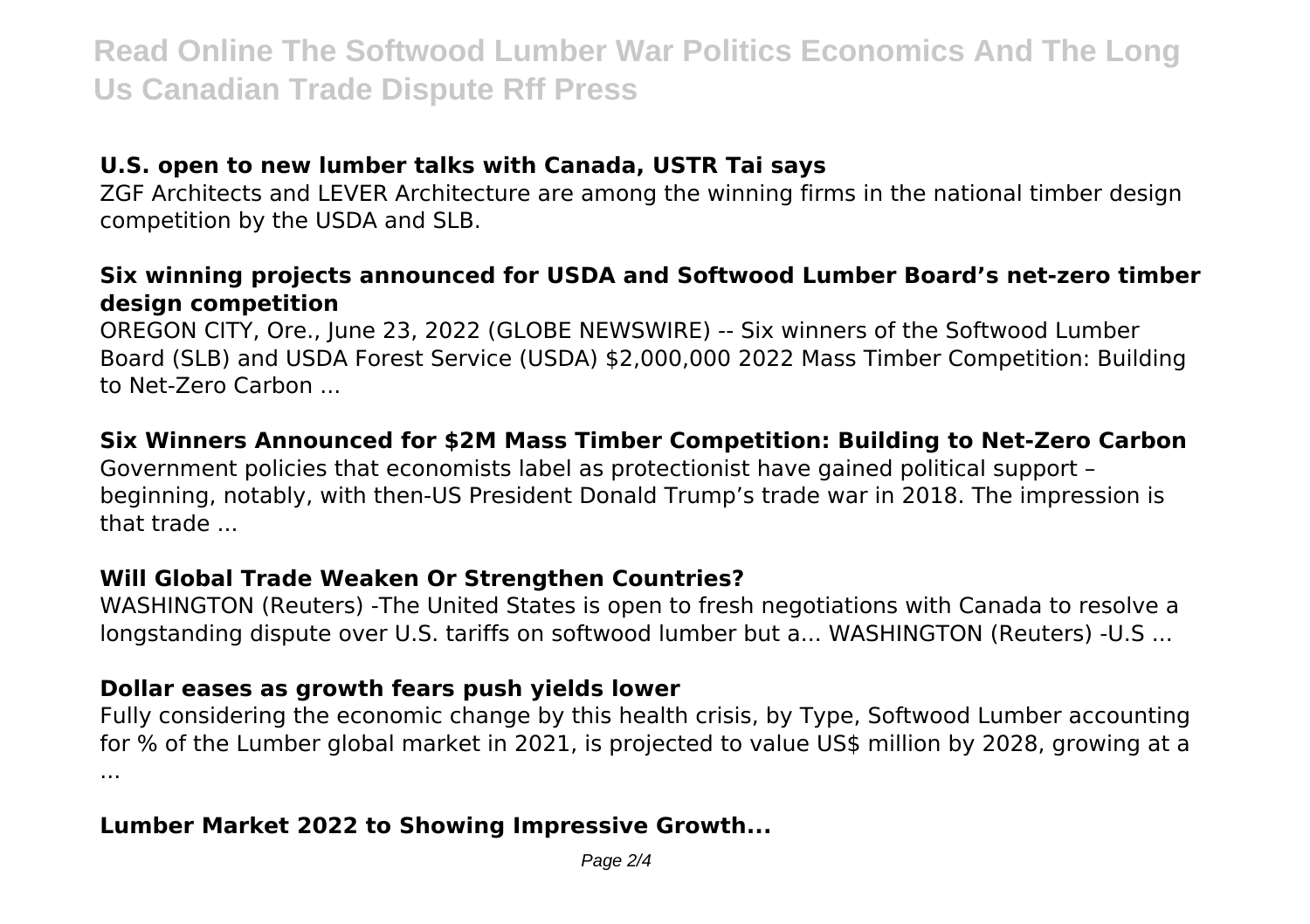#### **U.S. open to new lumber talks with Canada, USTR Tai says**

ZGF Architects and LEVER Architecture are among the winning firms in the national timber design competition by the USDA and SLB.

#### **Six winning projects announced for USDA and Softwood Lumber Board's net-zero timber design competition**

OREGON CITY, Ore., June 23, 2022 (GLOBE NEWSWIRE) -- Six winners of the Softwood Lumber Board (SLB) and USDA Forest Service (USDA) \$2,000,000 2022 Mass Timber Competition: Building to Net-Zero Carbon ...

#### **Six Winners Announced for \$2M Mass Timber Competition: Building to Net-Zero Carbon**

Government policies that economists label as protectionist have gained political support – beginning, notably, with then-US President Donald Trump's trade war in 2018. The impression is that trade ...

#### **Will Global Trade Weaken Or Strengthen Countries?**

WASHINGTON (Reuters) -The United States is open to fresh negotiations with Canada to resolve a longstanding dispute over U.S. tariffs on softwood lumber but a... WASHINGTON (Reuters) -U.S ...

#### **Dollar eases as growth fears push yields lower**

Fully considering the economic change by this health crisis, by Type, Softwood Lumber accounting for % of the Lumber global market in 2021, is projected to value US\$ million by 2028, growing at a ...

#### **Lumber Market 2022 to Showing Impressive Growth...**

Page 2/4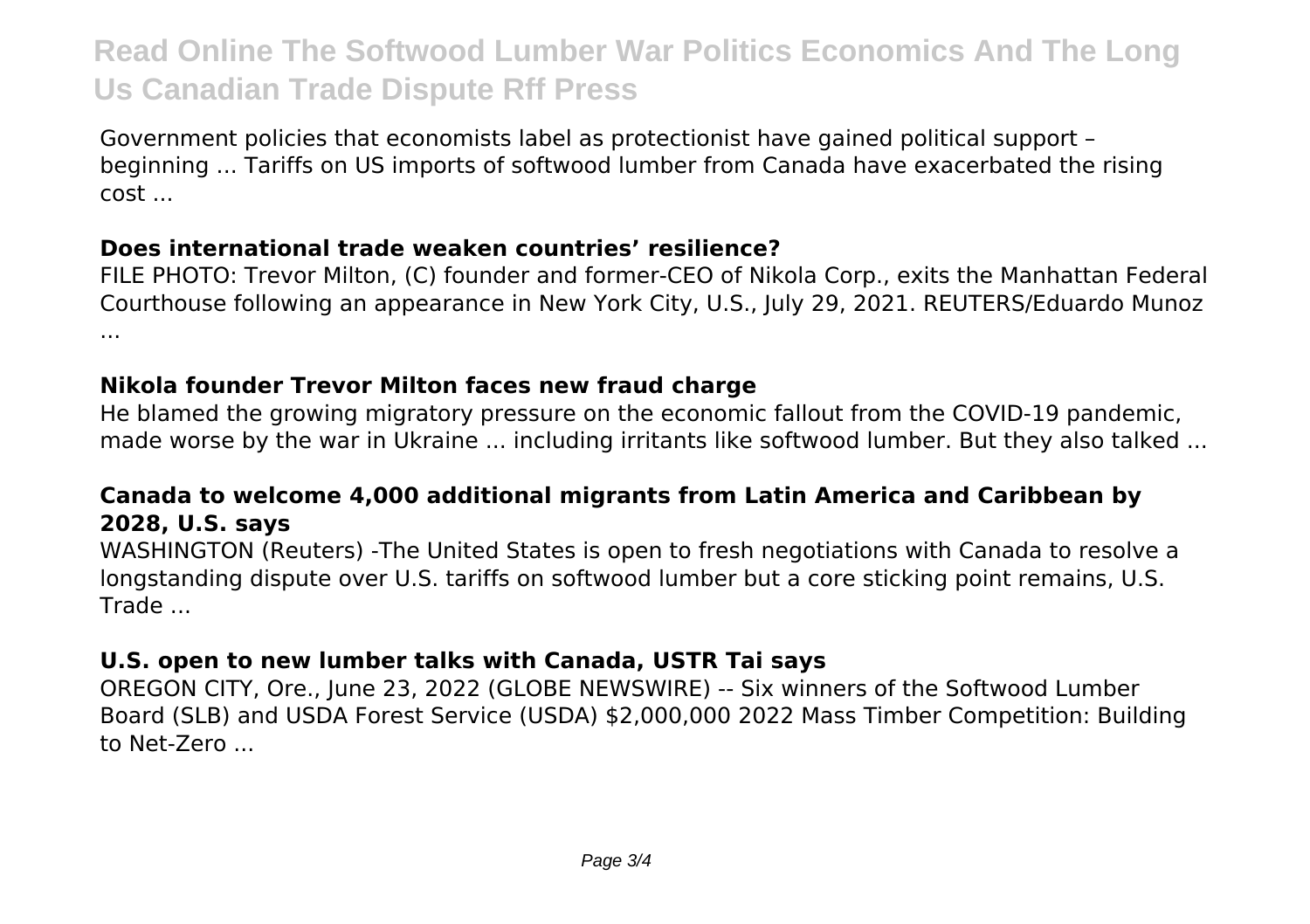Government policies that economists label as protectionist have gained political support – beginning ... Tariffs on US imports of softwood lumber from Canada have exacerbated the rising cost ...

#### **Does international trade weaken countries' resilience?**

FILE PHOTO: Trevor Milton, (C) founder and former-CEO of Nikola Corp., exits the Manhattan Federal Courthouse following an appearance in New York City, U.S., July 29, 2021. REUTERS/Eduardo Munoz ...

### **Nikola founder Trevor Milton faces new fraud charge**

He blamed the growing migratory pressure on the economic fallout from the COVID-19 pandemic, made worse by the war in Ukraine ... including irritants like softwood lumber. But they also talked ...

### **Canada to welcome 4,000 additional migrants from Latin America and Caribbean by 2028, U.S. says**

WASHINGTON (Reuters) -The United States is open to fresh negotiations with Canada to resolve a longstanding dispute over U.S. tariffs on softwood lumber but a core sticking point remains, U.S. Trade ...

## **U.S. open to new lumber talks with Canada, USTR Tai says**

OREGON CITY, Ore., June 23, 2022 (GLOBE NEWSWIRE) -- Six winners of the Softwood Lumber Board (SLB) and USDA Forest Service (USDA) \$2,000,000 2022 Mass Timber Competition: Building to Net-Zero ...